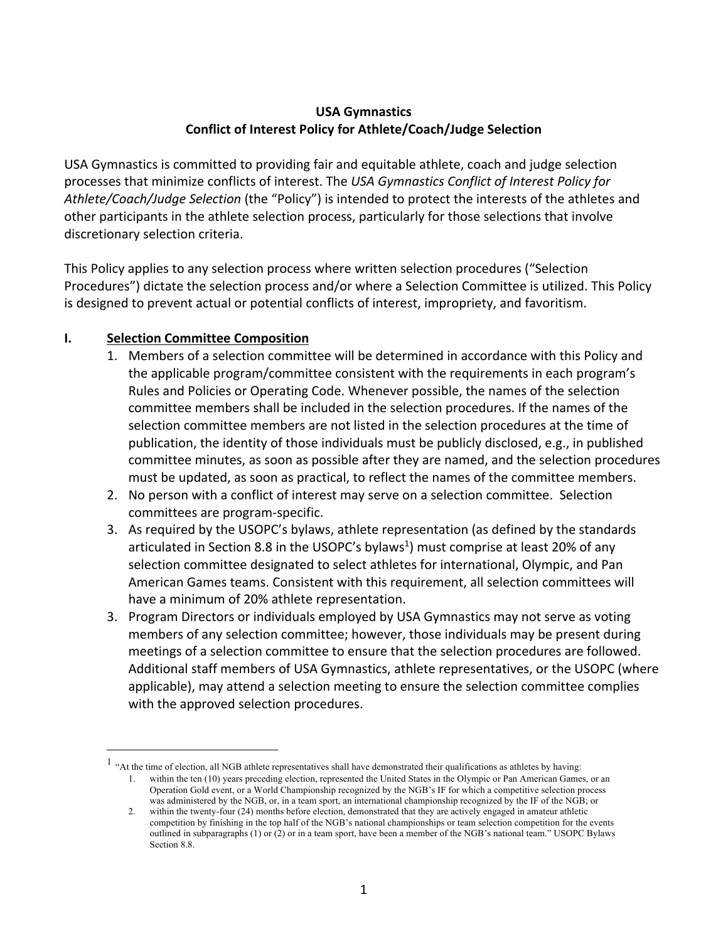#### **USA Gymnastics Conflict of Interest Policy for Athlete/Coach/Judge Selection**

USA Gymnastics is committed to providing fair and equitable athlete, coach and judge selection processes that minimize conflicts of interest. The *USA Gymnastics Conflict of Interest Policy for Athlete/Coach/Judge Selection* (the "Policy") is intended to protect the interests of the athletes and other participants in the athlete selection process, particularly for those selections that involve discretionary selection criteria.

This Policy applies to any selection process where written selection procedures ("Selection Procedures") dictate the selection process and/or where a Selection Committee is utilized. This Policy is designed to prevent actual or potential conflicts of interest, impropriety, and favoritism.

### **I. Selection Committee Composition**

- 1. Members of a selection committee will be determined in accordance with this Policy and the applicable program/committee consistent with the requirements in each program's Rules and Policies or Operating Code. Whenever possible, the names of the selection committee members shall be included in the selection procedures. If the names of the selection committee members are not listed in the selection procedures at the time of publication, the identity of those individuals must be publicly disclosed, e.g., in published committee minutes, as soon as possible after they are named, and the selection procedures must be updated, as soon as practical, to reflect the names of the committee members.
- 2. No person with a conflict of interest may serve on a selection committee. Selection committees are program-specific.
- 3. As required by the USOPC's bylaws, athlete representation (as defined by the standards articulated in Section 8.8 in the USOPC's bylaws<sup>1</sup>) must comprise at least 20% of any selection committee designated to select athletes for international, Olympic, and Pan American Games teams. Consistent with this requirement, all selection committees will have a minimum of 20% athlete representation.
- 3. Program Directors or individuals employed by USA Gymnastics may not serve as voting members of any selection committee; however, those individuals may be present during meetings of a selection committee to ensure that the selection procedures are followed. Additional staff members of USA Gymnastics, athlete representatives, or the USOPC (where applicable), may attend a selection meeting to ensure the selection committee complies with the approved selection procedures.

 $<sup>1</sup>$  "At the time of election, all NGB athlete representatives shall have demonstrated their qualifications as athletes by having:</sup> 1. within the ten (10) years preceding election, represented the United States in the Olympic or Pan American Games, or an Operation Gold event, or a World Championship recognized by the NGB's IF for which a competitive selection process

was administered by the NGB, or, in a team sport, an international championship recognized by the IF of the NGB; or 2. within the twenty-four (24) months before election, demonstrated that they are actively engaged in amateur athletic competition by finishing in the top half of the NGB's national championships or team selection competition for the events

outlined in subparagraphs (1) or (2) or in a team sport, have been a member of the NGB's national team." USOPC Bylaws Section 8.8.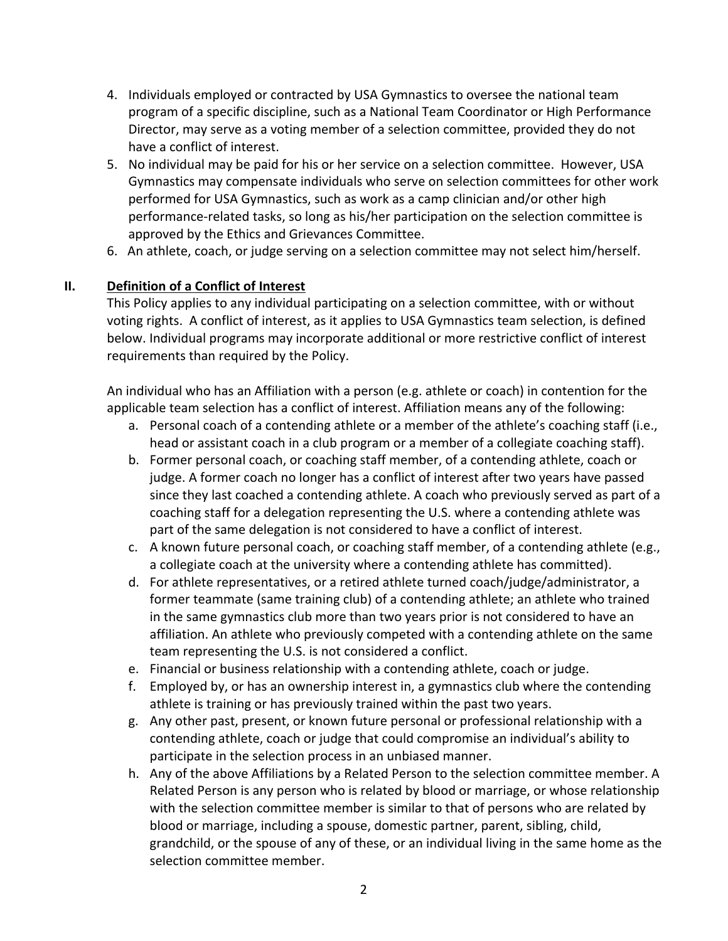- 4. Individuals employed or contracted by USA Gymnastics to oversee the national team program of a specific discipline, such as a National Team Coordinator or High Performance Director, may serve as a voting member of a selection committee, provided they do not have a conflict of interest.
- 5. No individual may be paid for his or her service on a selection committee. However, USA Gymnastics may compensate individuals who serve on selection committees for other work performed for USA Gymnastics, such as work as a camp clinician and/or other high performance-related tasks, so long as his/her participation on the selection committee is approved by the Ethics and Grievances Committee.
- 6. An athlete, coach, or judge serving on a selection committee may not select him/herself.

## **II. Definition of a Conflict of Interest**

This Policy applies to any individual participating on a selection committee, with or without voting rights. A conflict of interest, as it applies to USA Gymnastics team selection, is defined below. Individual programs may incorporate additional or more restrictive conflict of interest requirements than required by the Policy.

An individual who has an Affiliation with a person (e.g. athlete or coach) in contention for the applicable team selection has a conflict of interest. Affiliation means any of the following:

- a. Personal coach of a contending athlete or a member of the athlete's coaching staff (i.e., head or assistant coach in a club program or a member of a collegiate coaching staff).
- b. Former personal coach, or coaching staff member, of a contending athlete, coach or judge. A former coach no longer has a conflict of interest after two years have passed since they last coached a contending athlete. A coach who previously served as part of a coaching staff for a delegation representing the U.S. where a contending athlete was part of the same delegation is not considered to have a conflict of interest.
- c. A known future personal coach, or coaching staff member, of a contending athlete (e.g., a collegiate coach at the university where a contending athlete has committed).
- d. For athlete representatives, or a retired athlete turned coach/judge/administrator, a former teammate (same training club) of a contending athlete; an athlete who trained in the same gymnastics club more than two years prior is not considered to have an affiliation. An athlete who previously competed with a contending athlete on the same team representing the U.S. is not considered a conflict.
- e. Financial or business relationship with a contending athlete, coach or judge.
- f. Employed by, or has an ownership interest in, a gymnastics club where the contending athlete is training or has previously trained within the past two years.
- g. Any other past, present, or known future personal or professional relationship with a contending athlete, coach or judge that could compromise an individual's ability to participate in the selection process in an unbiased manner.
- h. Any of the above Affiliations by a Related Person to the selection committee member. A Related Person is any person who is related by blood or marriage, or whose relationship with the selection committee member is similar to that of persons who are related by blood or marriage, including a spouse, domestic partner, parent, sibling, child, grandchild, or the spouse of any of these, or an individual living in the same home as the selection committee member.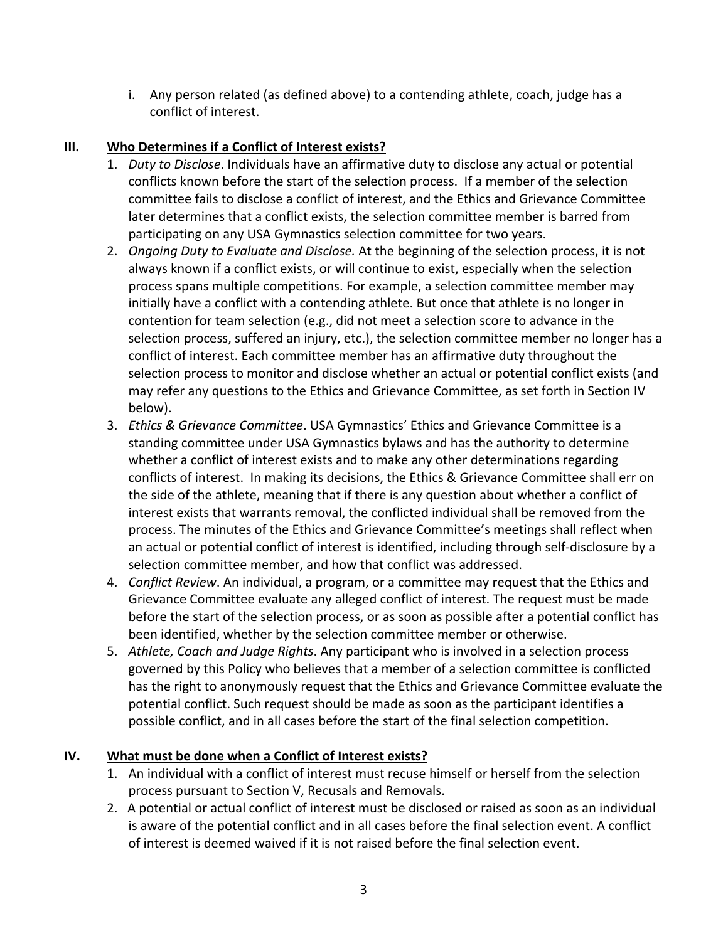i. Any person related (as defined above) to a contending athlete, coach, judge has a conflict of interest.

# **III. Who Determines if a Conflict of Interest exists?**

- 1. *Duty to Disclose*. Individuals have an affirmative duty to disclose any actual or potential conflicts known before the start of the selection process. If a member of the selection committee fails to disclose a conflict of interest, and the Ethics and Grievance Committee later determines that a conflict exists, the selection committee member is barred from participating on any USA Gymnastics selection committee for two years.
- 2. *Ongoing Duty to Evaluate and Disclose.* At the beginning of the selection process, it is not always known if a conflict exists, or will continue to exist, especially when the selection process spans multiple competitions. For example, a selection committee member may initially have a conflict with a contending athlete. But once that athlete is no longer in contention for team selection (e.g., did not meet a selection score to advance in the selection process, suffered an injury, etc.), the selection committee member no longer has a conflict of interest. Each committee member has an affirmative duty throughout the selection process to monitor and disclose whether an actual or potential conflict exists (and may refer any questions to the Ethics and Grievance Committee, as set forth in Section IV below).
- 3. *Ethics & Grievance Committee*. USA Gymnastics' Ethics and Grievance Committee is a standing committee under USA Gymnastics bylaws and has the authority to determine whether a conflict of interest exists and to make any other determinations regarding conflicts of interest. In making its decisions, the Ethics & Grievance Committee shall err on the side of the athlete, meaning that if there is any question about whether a conflict of interest exists that warrants removal, the conflicted individual shall be removed from the process. The minutes of the Ethics and Grievance Committee's meetings shall reflect when an actual or potential conflict of interest is identified, including through self-disclosure by a selection committee member, and how that conflict was addressed.
- 4. *Conflict Review*. An individual, a program, or a committee may request that the Ethics and Grievance Committee evaluate any alleged conflict of interest. The request must be made before the start of the selection process, or as soon as possible after a potential conflict has been identified, whether by the selection committee member or otherwise.
- 5. *Athlete, Coach and Judge Rights*. Any participant who is involved in a selection process governed by this Policy who believes that a member of a selection committee is conflicted has the right to anonymously request that the Ethics and Grievance Committee evaluate the potential conflict. Such request should be made as soon as the participant identifies a possible conflict, and in all cases before the start of the final selection competition.

## **IV. What must be done when a Conflict of Interest exists?**

- 1. An individual with a conflict of interest must recuse himself or herself from the selection process pursuant to Section V, Recusals and Removals.
- 2. A potential or actual conflict of interest must be disclosed or raised as soon as an individual is aware of the potential conflict and in all cases before the final selection event. A conflict of interest is deemed waived if it is not raised before the final selection event.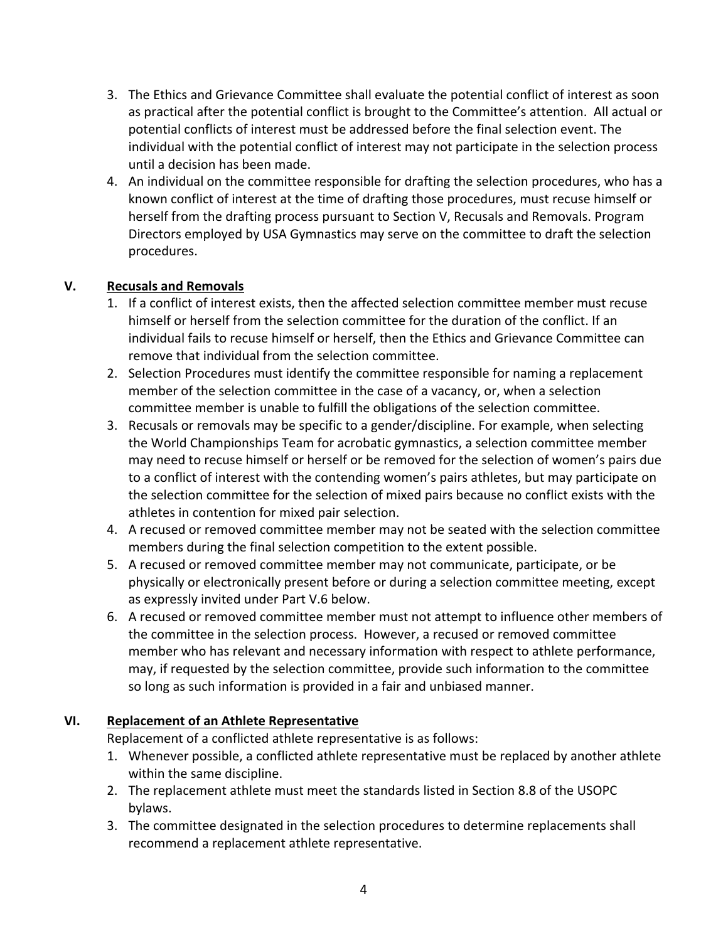- 3. The Ethics and Grievance Committee shall evaluate the potential conflict of interest as soon as practical after the potential conflict is brought to the Committee's attention. All actual or potential conflicts of interest must be addressed before the final selection event. The individual with the potential conflict of interest may not participate in the selection process until a decision has been made.
- 4. An individual on the committee responsible for drafting the selection procedures, who has a known conflict of interest at the time of drafting those procedures, must recuse himself or herself from the drafting process pursuant to Section V, Recusals and Removals. Program Directors employed by USA Gymnastics may serve on the committee to draft the selection procedures.

## **V. Recusals and Removals**

- 1. If a conflict of interest exists, then the affected selection committee member must recuse himself or herself from the selection committee for the duration of the conflict. If an individual fails to recuse himself or herself, then the Ethics and Grievance Committee can remove that individual from the selection committee.
- 2. Selection Procedures must identify the committee responsible for naming a replacement member of the selection committee in the case of a vacancy, or, when a selection committee member is unable to fulfill the obligations of the selection committee.
- 3. Recusals or removals may be specific to a gender/discipline. For example, when selecting the World Championships Team for acrobatic gymnastics, a selection committee member may need to recuse himself or herself or be removed for the selection of women's pairs due to a conflict of interest with the contending women's pairs athletes, but may participate on the selection committee for the selection of mixed pairs because no conflict exists with the athletes in contention for mixed pair selection.
- 4. A recused or removed committee member may not be seated with the selection committee members during the final selection competition to the extent possible.
- 5. A recused or removed committee member may not communicate, participate, or be physically or electronically present before or during a selection committee meeting, except as expressly invited under Part V.6 below.
- 6. A recused or removed committee member must not attempt to influence other members of the committee in the selection process. However, a recused or removed committee member who has relevant and necessary information with respect to athlete performance, may, if requested by the selection committee, provide such information to the committee so long as such information is provided in a fair and unbiased manner.

### **VI. Replacement of an Athlete Representative**

Replacement of a conflicted athlete representative is as follows:

- 1. Whenever possible, a conflicted athlete representative must be replaced by another athlete within the same discipline.
- 2. The replacement athlete must meet the standards listed in Section 8.8 of the USOPC bylaws.
- 3. The committee designated in the selection procedures to determine replacements shall recommend a replacement athlete representative.